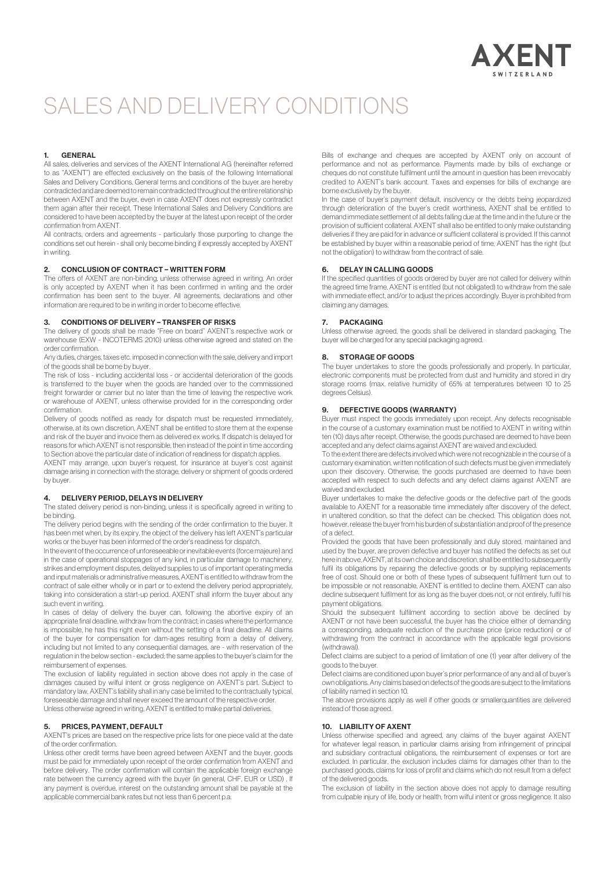

## SALES AND DELIVERY CONDITIONS

#### 1. GENERAL

All sales, deliveries and services of the AXENT International AG (hereinafter referred to as "AXENT") are effected exclusively on the basis of the following International Sales and Delivery Conditions. General terms and conditions of the buyer are hereby contradicted and are deemed to remain contradicted throughout the entire relationship between AXENT and the buyer, even in case AXENT does not expressly contradict them again after their receipt. These International Sales and Delivery Conditions are considered to have been accepted by the buyer at the latest upon receipt of the order confirmation from AXENT.

All contracts, orders and agreements - particularly those purporting to change the conditions set out herein - shall only become binding if expressly accepted by AXENT in writing.

## 2. CONCLUSION OF CONTRACT – WRITTEN FORM

The offers of AXENT are non-binding, unless otherwise agreed in writing. An order is only accepted by AXENT when it has been confirmed in writing and the order confirmation has been sent to the buyer. All agreements, declarations and other information are required to be in writing in order to become effective.

#### 3. CONDITIONS OF DELIVERY – TRANSFER OF RISKS

The delivery of goods shall be made "Free on board" AXENT's respective work or warehouse (EXW - INCOTERMS 2010) unless otherwise agreed and stated on the order confirmation.

Any duties, charges, taxes etc. imposed in connection with the sale, delivery and import of the goods shall be borne by buyer.

The risk of loss - including accidental loss - or accidental deterioration of the goods is transferred to the buyer when the goods are handed over to the commissioned freight forwarder or carrier but no later than the time of leaving the respective work or warehouse of AXENT, unless otherwise provided for in the corresponding order confirmation.

Delivery of goods notified as ready for dispatch must be requested immediately, otherwise, at its own discretion, AXENT shall be entitled to store them at the expense and risk of the buyer and invoice them as delivered ex works. If dispatch is delayed for reasons for which AXENT is not responsible, then instead of the point in time according to Section above the particular date of indication of readiness for dispatch applies.

AXENT may arrange, upon buyer's request, for insurance at buyer's cost against damage arising in connection with the storage, delivery or shipment of goods ordered by buyer.

#### 4. DELIVERY PERIOD, DELAYS IN DELIVERY

The stated delivery period is non-binding, unless it is specifically agreed in writing to be binding.

The delivery period begins with the sending of the order confirmation to the buyer. It has been met when, by its expiry, the object of the delivery has left AXENT's particular works or the buyer has been informed of the order's readiness for dispatch.

In the event of the occurrence of unforeseeable or inevitable events (force majeure) and in the case of operational stoppages of any kind, in particular damage to machinery, strikes and employment disputes, delayed supplies to us of important operating media and input materials or administrative measures, AXENT is entitled to withdraw from the contract of sale either wholly or in part or to extend the delivery period appropriately, taking into consideration a start-up period. AXENT shall inform the buyer about any such event in writing.

In cases of delay of delivery the buyer can, following the abortive expiry of an appropriate final deadline, withdraw from the contract; in cases where the performance is impossible, he has this right even without the setting of a final deadline. All claims of the buyer for compensation for dam-ages resulting from a delay of delivery, including but not limited to any consequential damages, are - with reservation of the regulation in the below section - excluded; the same applies to the buyer's claim for the reimbursement of expenses.

The exclusion of liability regulated in section above does not apply in the case of damages caused by wilful intent or gross negligence on AXENT's part. Subject to mandatory law, AXENT's liability shall in any case be limited to the contractually typical, foreseeable damage and shall never exceed the amount of the respective order. Unless otherwise agreed in writing, AXENT is entitled to make partial deliveries.

#### 5. PRICES, PAYMENT, DEFAULT

AXENT's prices are based on the respective price lists for one piece valid at the date of the order confirmation.

Unless other credit terms have been agreed between AXENT and the buyer, goods must be paid for immediately upon receipt of the order confirmation from AXENT and before delivery. The order confirmation will contain the applicable foreign exchange rate between the currency agreed with the buyer (in general, CHF, EUR or USD) . If any payment is overdue, interest on the outstanding amount shall be payable at the applicable commercial bank rates but not less than 6 percent p.a.

Bills of exchange and cheques are accepted by AXENT only on account of performance and not as performance. Payments made by bills of exchange or cheques do not constitute fulfilment until the amount in question has been irrevocably credited to AXENT's bank account. Taxes and expenses for bills of exchange are borne exclusively by the buyer.

In the case of buyer's payment default, insolvency or the debts being jeopardized through deterioration of the buyer's credit worthiness, AXENT shall be entitled to demand immediate settlement of all debts falling due at the time and in the future or the provision of sufficient collateral. AXENT shall also be entitled to only make outstanding deliveries if they are paid for in advance or sufficient collateral is provided. If this cannot be established by buyer within a reasonable period of time, AXENT has the right (but not the obligation) to withdraw from the contract of sale.

## 6. DELAY IN CALLING GOODS

If the specified quantities of goods ordered by buyer are not called for delivery within the agreed time frame, AXENT is entitled (but not obligated) to withdraw from the sale with immediate effect, and/or to adjust the prices accordingly. Buyer is prohibited from claiming any damages.

#### 7. PACKAGING

Unless otherwise agreed, the goods shall be delivered in standard packaging. The buyer will be charged for any special packaging agreed.

### 8. STORAGE OF GOODS

The buyer undertakes to store the goods professionally and properly. In particular, electronic components must be protected from dust and humidity and stored in dry storage rooms (max. relative humidity of 65% at temperatures between 10 to 25 degrees Celsius).

#### 9. DEFECTIVE GOODS (WARRANTY)

Buyer must inspect the goods immediately upon receipt. Any defects recognisable in the course of a customary examination must be notified to AXENT in writing within ten (10) days after receipt. Otherwise, the goods purchased are deemed to have been accepted and any defect claims against AXENT are waived and excluded.

To the extent there are defects involved which were not recognizable in the course of a customary examination, written notification of such defects must be given immediately upon their discovery. Otherwise, the goods purchased are deemed to have been accepted with respect to such defects and any defect claims against AXENT are waived and excluded.

Buyer undertakes to make the defective goods or the defective part of the goods available to AXENT for a reasonable time immediately after discovery of the defect, in unaltered condition, so that the defect can be checked. This obligation does not, however, release the buyer from his burden of substantiation and proof of the presence of a defect.

Provided the goods that have been professionally and duly stored, maintained and used by the buyer, are proven defective and buyer has notified the defects as set out here in above, AXENT, at its own choice and discretion, shall be entitled to subsequently fulfil its obligations by repairing the defective goods or by supplying replacements free of cost. Should one or both of these types of subsequent fulfilment turn out to be impossible or not reasonable, AXENT is entitled to decline them. AXENT can also decline subsequent fulfilment for as long as the buyer does not, or not entirely, fulfil his payment obligations.

Should the subsequent fulfilment according to section above be declined by AXENT or not have been successful, the buyer has the choice either of demanding a corresponding, adequate reduction of the purchase price (price reduction) or of withdrawing from the contract in accordance with the applicable legal provisions (withdrawal).

Defect claims are subject to a period of limitation of one (1) year after delivery of the goods to the buyer.

Defect claims are conditioned upon buyer's prior performance of any and all of buyer's own obligations. Any claims based on defects of the goods are subject to the limitations of liability named in section 10.

The above provisions apply as well if other goods or smallerquantities are delivered instead of those agreed.

#### 10. LIABILITY OF AXENT

Unless otherwise specified and agreed, any claims of the buyer against AXENT for whatever legal reason, in particular claims arising from infringement of principal and subsidiary contractual obligations, the reimbursement of expenses or tort are excluded. In particular, the exclusion includes claims for damages other than to the purchased goods, claims for loss of profit and claims which do not result from a defect of the delivered goods.

The exclusion of liability in the section above does not apply to damage resulting from culpable injury of life, body or health, from wilful intent or gross negligence. It also